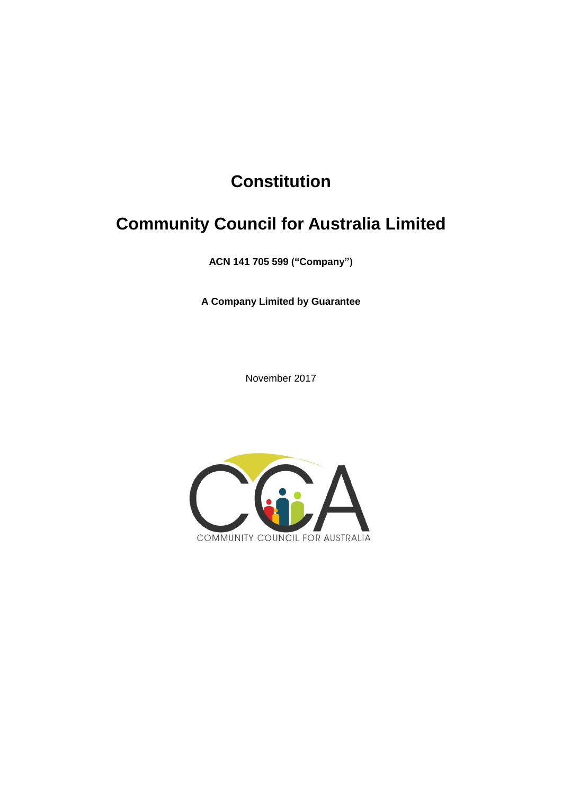# **Constitution**

# **Community Council for Australia Limited**

**ACN 141 705 599 ("Company")**

**A Company Limited by Guarantee**

November 2017

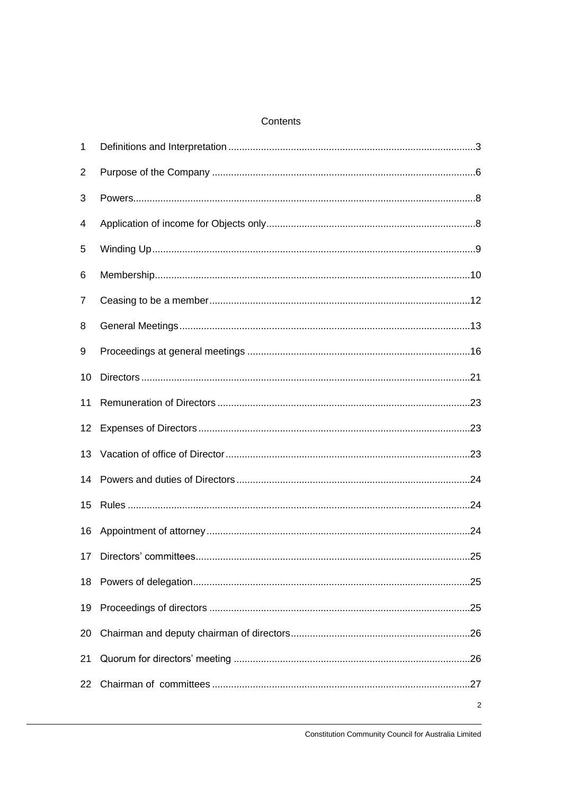#### Contents

| 1              |   |
|----------------|---|
| 2              |   |
| 3              |   |
| 4              |   |
| 5              |   |
| 6              |   |
| $\overline{7}$ |   |
| 8              |   |
| 9              |   |
| 10             |   |
| 11             |   |
| 12             |   |
| 13             |   |
| 14             |   |
| 15             |   |
| 16             |   |
| 17             |   |
| 18             |   |
| 19             |   |
| 20             |   |
| 21             |   |
| 22             |   |
|                | 2 |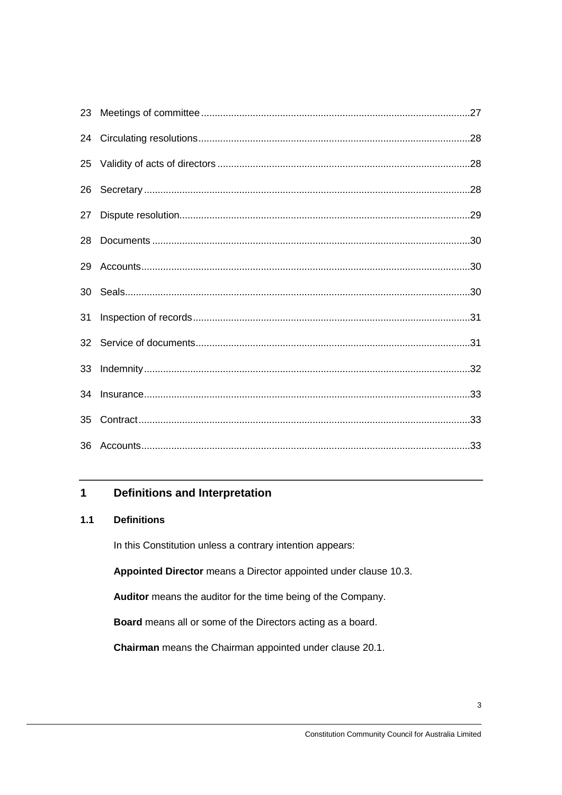| 27 |  |
|----|--|
| 28 |  |
| 29 |  |
|    |  |
| 31 |  |
|    |  |
| 33 |  |
| 34 |  |
| 35 |  |
|    |  |

#### <span id="page-2-0"></span> $\mathbf{1}$ **Definitions and Interpretation**

#### $1.1$ **Definitions**

In this Constitution unless a contrary intention appears:

Appointed Director means a Director appointed under clause 10.3.

Auditor means the auditor for the time being of the Company.

Board means all or some of the Directors acting as a board.

Chairman means the Chairman appointed under clause 20.1.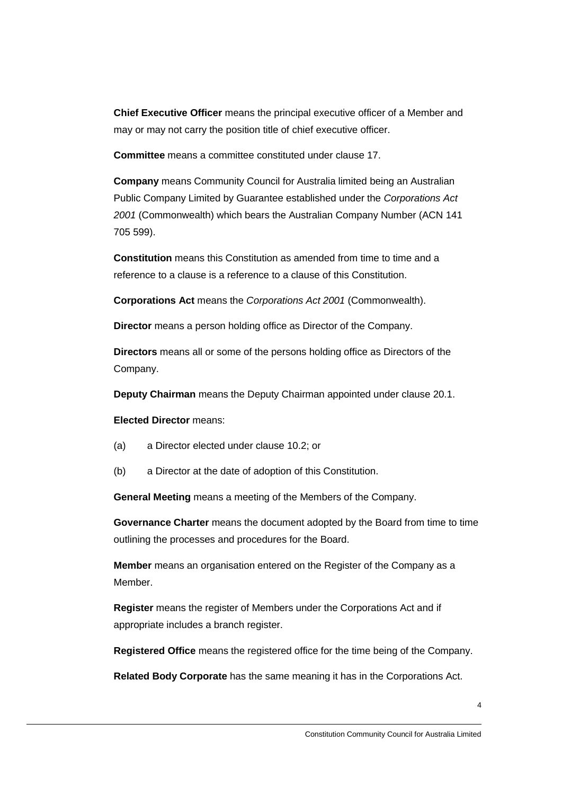**Chief Executive Officer** means the principal executive officer of a Member and may or may not carry the position title of chief executive officer.

**Committee** means a committee constituted under clause [17.](#page-25-0)

**Company** means Community Council for Australia limited being an Australian Public Company Limited by Guarantee established under the *Corporations Act 2001* (Commonwealth) which bears the Australian Company Number (ACN 141 705 599).

**Constitution** means this Constitution as amended from time to time and a reference to a clause is a reference to a clause of this Constitution.

**Corporations Act** means the *Corporations Act 2001* (Commonwealth).

**Director** means a person holding office as Director of the Company.

**Directors** means all or some of the persons holding office as Directors of the Company.

**Deputy Chairman** means the Deputy Chairman appointed under clause [20.1.](#page-26-2)

**Elected Director** means:

- (a) a Director elected under clause [10.2;](#page-21-2) or
- (b) a Director at the date of adoption of this Constitution.

**General Meeting** means a meeting of the Members of the Company.

**Governance Charter** means the document adopted by the Board from time to time outlining the processes and procedures for the Board.

**Member** means an organisation entered on the Register of the Company as a Member.

**Register** means the register of Members under the Corporations Act and if appropriate includes a branch register.

**Registered Office** means the registered office for the time being of the Company.

**Related Body Corporate** has the same meaning it has in the Corporations Act.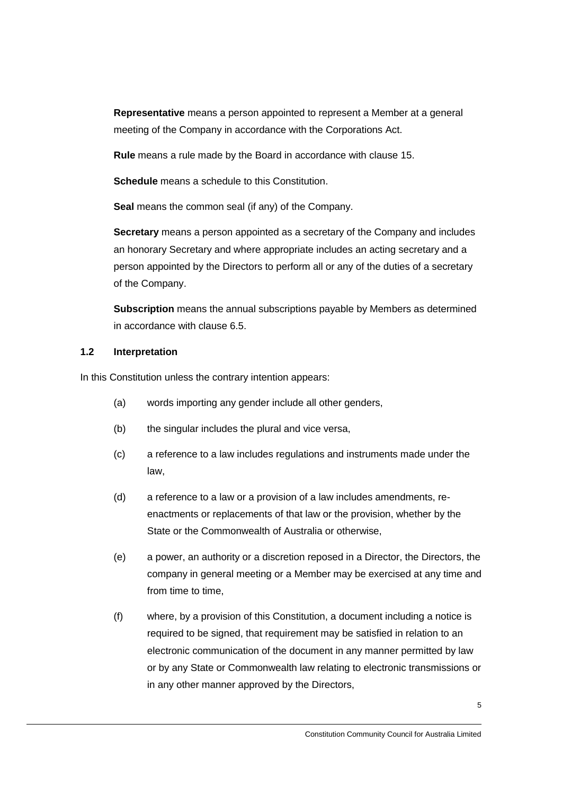**Representative** means a person appointed to represent a Member at a general meeting of the Company in accordance with the Corporations Act.

**Rule** means a rule made by the Board in accordance with clause [15.](#page-24-1)

**Schedule** means a schedule to this Constitution.

**Seal** means the common seal (if any) of the Company.

**Secretary** means a person appointed as a secretary of the Company and includes an honorary Secretary and where appropriate includes an acting secretary and a person appointed by the Directors to perform all or any of the duties of a secretary of the Company.

**Subscription** means the annual subscriptions payable by Members as determined in accordance with clause [6.5.](#page-11-1)

#### **1.2 Interpretation**

In this Constitution unless the contrary intention appears:

- (a) words importing any gender include all other genders,
- (b) the singular includes the plural and vice versa,
- (c) a reference to a law includes regulations and instruments made under the law,
- (d) a reference to a law or a provision of a law includes amendments, reenactments or replacements of that law or the provision, whether by the State or the Commonwealth of Australia or otherwise,
- (e) a power, an authority or a discretion reposed in a Director, the Directors, the company in general meeting or a Member may be exercised at any time and from time to time,
- (f) where, by a provision of this Constitution, a document including a notice is required to be signed, that requirement may be satisfied in relation to an electronic communication of the document in any manner permitted by law or by any State or Commonwealth law relating to electronic transmissions or in any other manner approved by the Directors,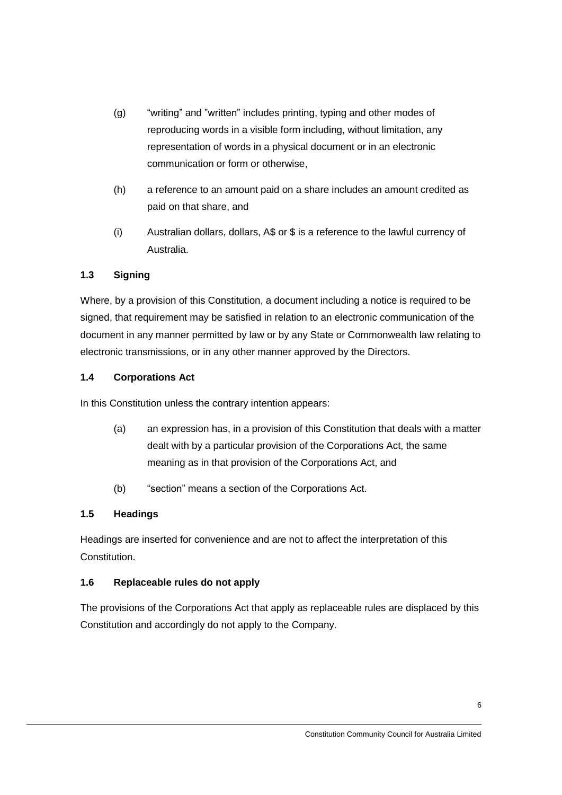- (g) "writing" and "written" includes printing, typing and other modes of reproducing words in a visible form including, without limitation, any representation of words in a physical document or in an electronic communication or form or otherwise,
- (h) a reference to an amount paid on a share includes an amount credited as paid on that share, and
- (i) Australian dollars, dollars, A\$ or \$ is a reference to the lawful currency of Australia.

# **1.3 Signing**

Where, by a provision of this Constitution, a document including a notice is required to be signed, that requirement may be satisfied in relation to an electronic communication of the document in any manner permitted by law or by any State or Commonwealth law relating to electronic transmissions, or in any other manner approved by the Directors.

#### **1.4 Corporations Act**

In this Constitution unless the contrary intention appears:

- (a) an expression has, in a provision of this Constitution that deals with a matter dealt with by a particular provision of the Corporations Act, the same meaning as in that provision of the Corporations Act, and
- (b) "section" means a section of the Corporations Act.

# **1.5 Headings**

Headings are inserted for convenience and are not to affect the interpretation of this Constitution.

# **1.6 Replaceable rules do not apply**

The provisions of the Corporations Act that apply as replaceable rules are displaced by this Constitution and accordingly do not apply to the Company.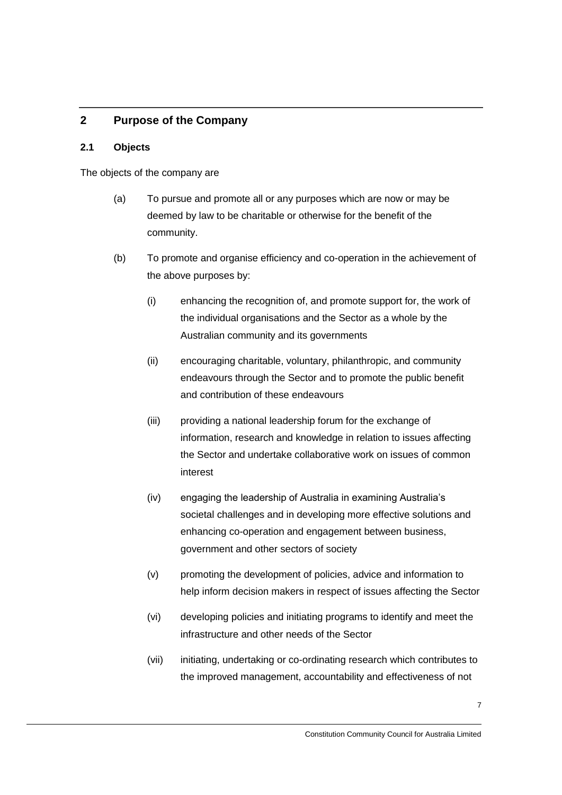# <span id="page-6-0"></span>**2 Purpose of the Company**

#### <span id="page-6-1"></span>**2.1 Objects**

The objects of the company are

- (a) To pursue and promote all or any purposes which are now or may be deemed by law to be charitable or otherwise for the benefit of the community.
- (b) To promote and organise efficiency and co-operation in the achievement of the above purposes by:
	- (i) enhancing the recognition of, and promote support for, the work of the individual organisations and the Sector as a whole by the Australian community and its governments
	- (ii) encouraging charitable, voluntary, philanthropic, and community endeavours through the Sector and to promote the public benefit and contribution of these endeavours
	- (iii) providing a national leadership forum for the exchange of information, research and knowledge in relation to issues affecting the Sector and undertake collaborative work on issues of common interest
	- (iv) engaging the leadership of Australia in examining Australia's societal challenges and in developing more effective solutions and enhancing co-operation and engagement between business, government and other sectors of society
	- (v) promoting the development of policies, advice and information to help inform decision makers in respect of issues affecting the Sector
	- (vi) developing policies and initiating programs to identify and meet the infrastructure and other needs of the Sector
	- (vii) initiating, undertaking or co-ordinating research which contributes to the improved management, accountability and effectiveness of not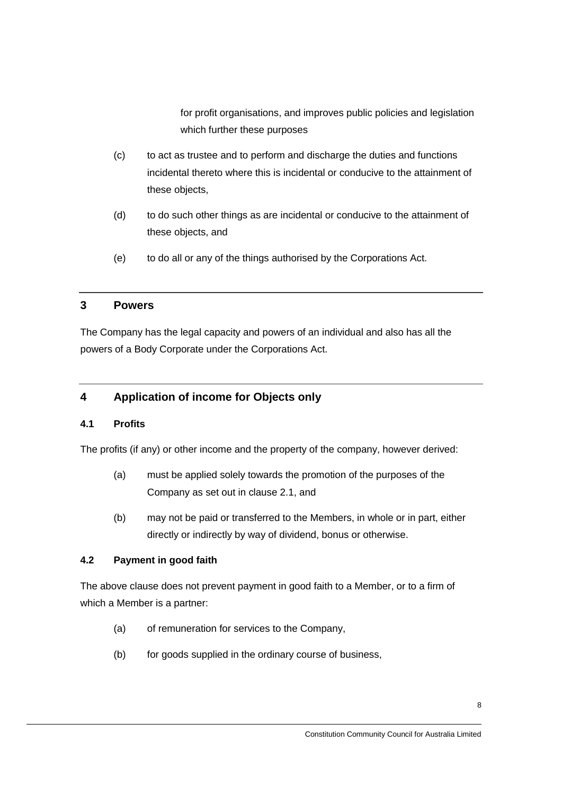for profit organisations, and improves public policies and legislation which further these purposes

- (c) to act as trustee and to perform and discharge the duties and functions incidental thereto where this is incidental or conducive to the attainment of these objects,
- (d) to do such other things as are incidental or conducive to the attainment of these objects, and
- (e) to do all or any of the things authorised by the Corporations Act.

# <span id="page-7-0"></span>**3 Powers**

The Company has the legal capacity and powers of an individual and also has all the powers of a Body Corporate under the Corporations Act.

# <span id="page-7-1"></span>**4 Application of income for Objects only**

# **4.1 Profits**

The profits (if any) or other income and the property of the company, however derived:

- (a) must be applied solely towards the promotion of the purposes of the Company as set out in clause [2.1,](#page-6-1) and
- (b) may not be paid or transferred to the Members, in whole or in part, either directly or indirectly by way of dividend, bonus or otherwise.

# **4.2 Payment in good faith**

The above clause does not prevent payment in good faith to a Member, or to a firm of which a Member is a partner:

- (a) of remuneration for services to the Company,
- (b) for goods supplied in the ordinary course of business,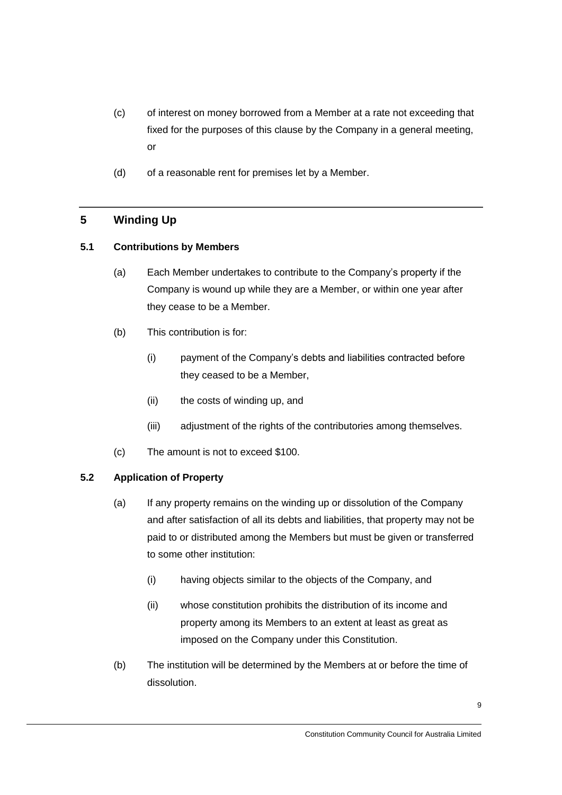- (c) of interest on money borrowed from a Member at a rate not exceeding that fixed for the purposes of this clause by the Company in a general meeting, or
- (d) of a reasonable rent for premises let by a Member.

# <span id="page-8-0"></span>**5 Winding Up**

#### <span id="page-8-1"></span>**5.1 Contributions by Members**

- (a) Each Member undertakes to contribute to the Company's property if the Company is wound up while they are a Member, or within one year after they cease to be a Member.
- (b) This contribution is for:
	- (i) payment of the Company's debts and liabilities contracted before they ceased to be a Member,
	- (ii) the costs of winding up, and
	- (iii) adjustment of the rights of the contributories among themselves.
- (c) The amount is not to exceed \$100.

# **5.2 Application of Property**

- (a) If any property remains on the winding up or dissolution of the Company and after satisfaction of all its debts and liabilities, that property may not be paid to or distributed among the Members but must be given or transferred to some other institution:
	- (i) having objects similar to the objects of the Company, and
	- (ii) whose constitution prohibits the distribution of its income and property among its Members to an extent at least as great as imposed on the Company under this Constitution.
- (b) The institution will be determined by the Members at or before the time of dissolution.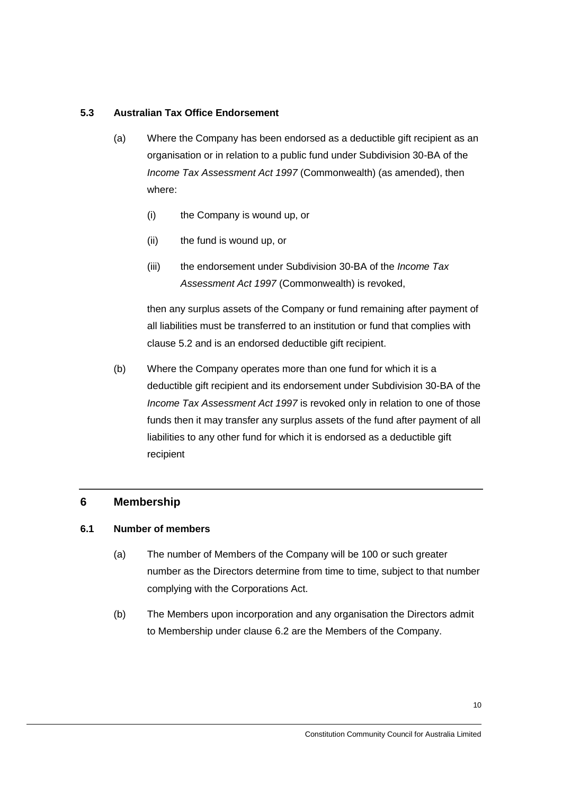### **5.3 Australian Tax Office Endorsement**

- (a) Where the Company has been endorsed as a deductible gift recipient as an organisation or in relation to a public fund under Subdivision 30-BA of the *Income Tax Assessment Act 1997* (Commonwealth) (as amended), then where:
	- (i) the Company is wound up, or
	- (ii) the fund is wound up, or
	- (iii) the endorsement under Subdivision 30-BA of the *Income Tax Assessment Act 1997* (Commonwealth) is revoked,

then any surplus assets of the Company or fund remaining after payment of all liabilities must be transferred to an institution or fund that complies with clause 5.2 and is an endorsed deductible gift recipient.

(b) Where the Company operates more than one fund for which it is a deductible gift recipient and its endorsement under Subdivision 30-BA of the *Income Tax Assessment Act 1997* is revoked only in relation to one of those funds then it may transfer any surplus assets of the fund after payment of all liabilities to any other fund for which it is endorsed as a deductible gift recipient

# <span id="page-9-0"></span>**6 Membership**

#### **6.1 Number of members**

- (a) The number of Members of the Company will be 100 or such greater number as the Directors determine from time to time, subject to that number complying with the Corporations Act.
- (b) The Members upon incorporation and any organisation the Directors admit to Membership under clause [6.2](#page-10-0) are the Members of the Company.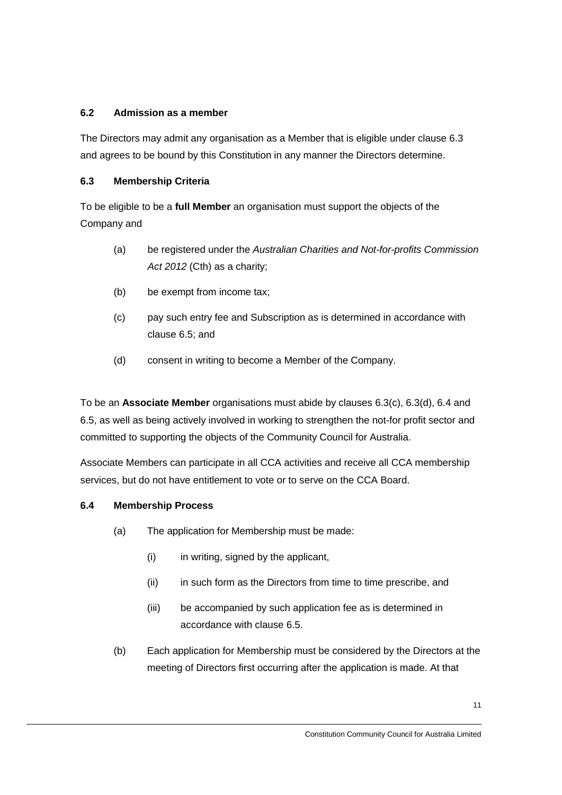# <span id="page-10-0"></span>**6.2 Admission as a member**

The Directors may admit any organisation as a Member that is eligible under clause [6.3](#page-10-1) and agrees to be bound by this Constitution in any manner the Directors determine.

### <span id="page-10-1"></span>**6.3 Membership Criteria**

To be eligible to be a **full Member** an organisation must support the objects of the Company and

- (a) be registered under the *Australian Charities and Not-for-profits Commission Act 2012* (Cth) as a charity;
- (b) be exempt from income tax;
- <span id="page-10-2"></span>(c) pay such entry fee and Subscription as is determined in accordance with clause [6.5;](#page-11-1) and
- <span id="page-10-3"></span>(d) consent in writing to become a Member of the Company.

To be an **Associate Member** organisations must abide by clauses [6.3\(c\),](#page-10-2) [6.3\(d\),](#page-10-3) 6.4 and 6.5, as well as being actively involved in working to strengthen the not-for profit sector and committed to supporting the objects of the Community Council for Australia.

Associate Members can participate in all CCA activities and receive all CCA membership services, but do not have entitlement to vote or to serve on the CCA Board.

# **6.4 Membership Process**

- (a) The application for Membership must be made:
	- (i) in writing, signed by the applicant,
	- (ii) in such form as the Directors from time to time prescribe, and
	- (iii) be accompanied by such application fee as is determined in accordance with clause [6.5.](#page-11-1)
- (b) Each application for Membership must be considered by the Directors at the meeting of Directors first occurring after the application is made. At that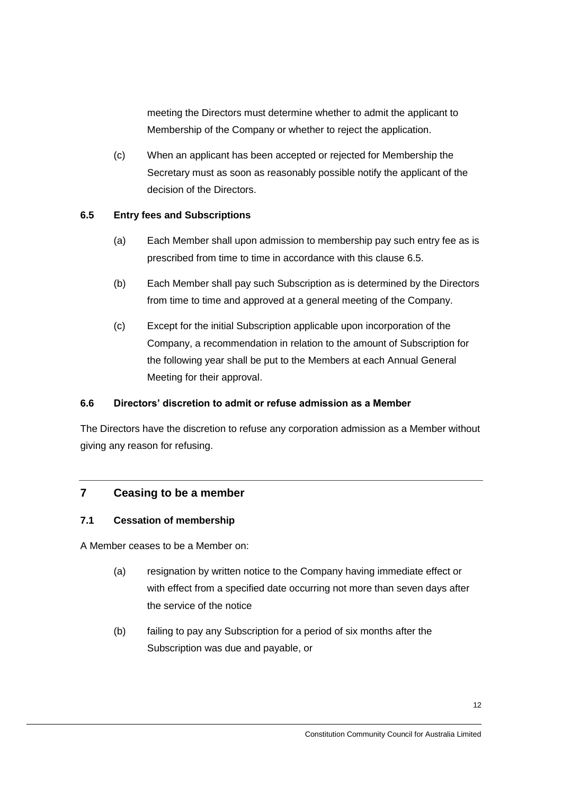meeting the Directors must determine whether to admit the applicant to Membership of the Company or whether to reject the application.

(c) When an applicant has been accepted or rejected for Membership the Secretary must as soon as reasonably possible notify the applicant of the decision of the Directors.

# <span id="page-11-1"></span>**6.5 Entry fees and Subscriptions**

- (a) Each Member shall upon admission to membership pay such entry fee as is prescribed from time to time in accordance with this clause [6.5.](#page-11-1)
- (b) Each Member shall pay such Subscription as is determined by the Directors from time to time and approved at a general meeting of the Company.
- (c) Except for the initial Subscription applicable upon incorporation of the Company, a recommendation in relation to the amount of Subscription for the following year shall be put to the Members at each Annual General Meeting for their approval.

#### **6.6 Directors' discretion to admit or refuse admission as a Member**

The Directors have the discretion to refuse any corporation admission as a Member without giving any reason for refusing.

# <span id="page-11-0"></span>**7 Ceasing to be a member**

#### **7.1 Cessation of membership**

A Member ceases to be a Member on:

- (a) resignation by written notice to the Company having immediate effect or with effect from a specified date occurring not more than seven days after the service of the notice
- (b) failing to pay any Subscription for a period of six months after the Subscription was due and payable, or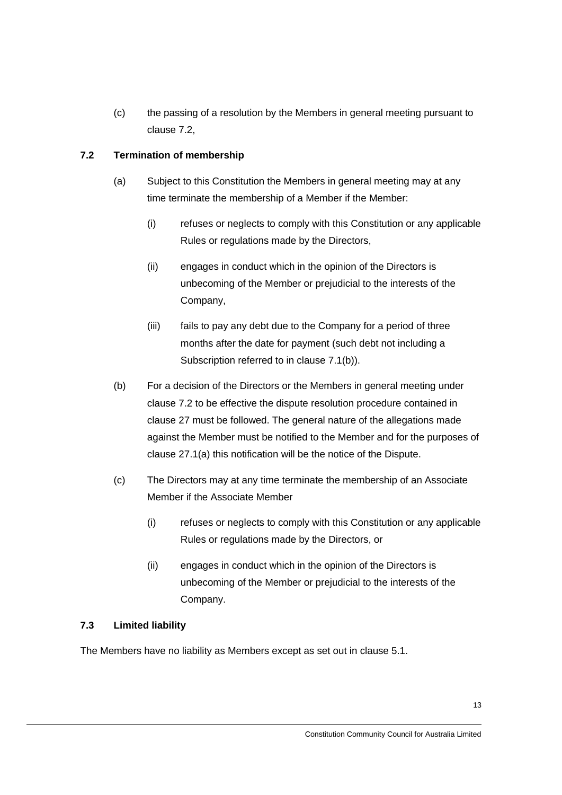(c) the passing of a resolution by the Members in general meeting pursuant to clause [7.2,](#page-12-0)

# <span id="page-12-0"></span>**7.2 Termination of membership**

- (a) Subject to this Constitution the Members in general meeting may at any time terminate the membership of a Member if the Member:
	- (i) refuses or neglects to comply with this Constitution or any applicable Rules or regulations made by the Directors,
	- (ii) engages in conduct which in the opinion of the Directors is unbecoming of the Member or prejudicial to the interests of the Company,
	- (iii) fails to pay any debt due to the Company for a period of three months after the date for payment (such debt not including a Subscription referred to in clause 7.1(b)).
- (b) For a decision of the Directors or the Members in general meeting under clause [7.2](#page-12-0) to be effective the dispute resolution procedure contained in clause 27 must be followed. The general nature of the allegations made against the Member must be notified to the Member and for the purposes of clause [27.1\(a\)](#page-29-1) this notification will be the notice of the Dispute.
- (c) The Directors may at any time terminate the membership of an Associate Member if the Associate Member
	- (i) refuses or neglects to comply with this Constitution or any applicable Rules or regulations made by the Directors, or
	- (ii) engages in conduct which in the opinion of the Directors is unbecoming of the Member or prejudicial to the interests of the Company.

# **7.3 Limited liability**

The Members have no liability as Members except as set out in clause [5.1.](#page-8-1)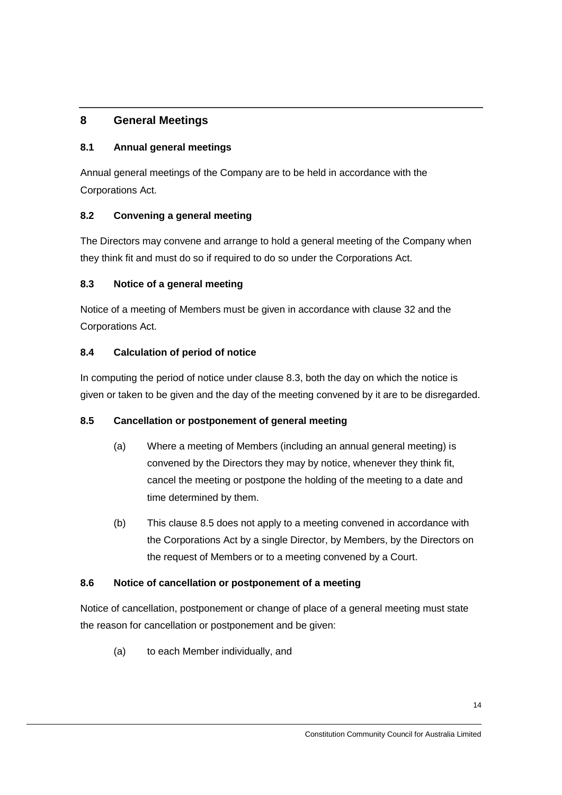# <span id="page-13-0"></span>**8 General Meetings**

# **8.1 Annual general meetings**

Annual general meetings of the Company are to be held in accordance with the Corporations Act.

# **8.2 Convening a general meeting**

The Directors may convene and arrange to hold a general meeting of the Company when they think fit and must do so if required to do so under the Corporations Act.

# <span id="page-13-1"></span>**8.3 Notice of a general meeting**

Notice of a meeting of Members must be given in accordance with clause [32](#page-31-1) and the Corporations Act.

# **8.4 Calculation of period of notice**

In computing the period of notice under clause [8.3,](#page-13-1) both the day on which the notice is given or taken to be given and the day of the meeting convened by it are to be disregarded.

# <span id="page-13-2"></span>**8.5 Cancellation or postponement of general meeting**

- (a) Where a meeting of Members (including an annual general meeting) is convened by the Directors they may by notice, whenever they think fit, cancel the meeting or postpone the holding of the meeting to a date and time determined by them.
- (b) This clause [8.5](#page-13-2) does not apply to a meeting convened in accordance with the Corporations Act by a single Director, by Members, by the Directors on the request of Members or to a meeting convened by a Court.

# **8.6 Notice of cancellation or postponement of a meeting**

Notice of cancellation, postponement or change of place of a general meeting must state the reason for cancellation or postponement and be given:

(a) to each Member individually, and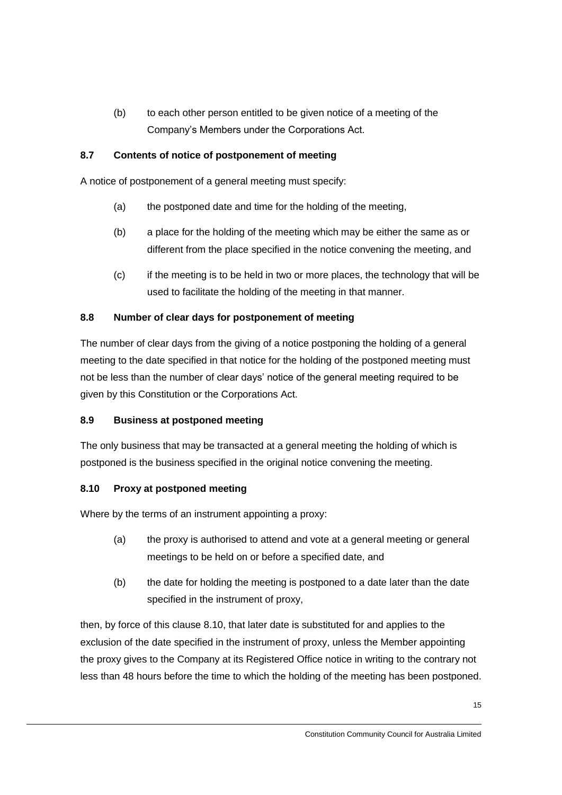(b) to each other person entitled to be given notice of a meeting of the Company's Members under the Corporations Act.

### **8.7 Contents of notice of postponement of meeting**

A notice of postponement of a general meeting must specify:

- (a) the postponed date and time for the holding of the meeting,
- (b) a place for the holding of the meeting which may be either the same as or different from the place specified in the notice convening the meeting, and
- (c) if the meeting is to be held in two or more places, the technology that will be used to facilitate the holding of the meeting in that manner.

#### **8.8 Number of clear days for postponement of meeting**

The number of clear days from the giving of a notice postponing the holding of a general meeting to the date specified in that notice for the holding of the postponed meeting must not be less than the number of clear days' notice of the general meeting required to be given by this Constitution or the Corporations Act.

#### **8.9 Business at postponed meeting**

The only business that may be transacted at a general meeting the holding of which is postponed is the business specified in the original notice convening the meeting.

#### <span id="page-14-0"></span>**8.10 Proxy at postponed meeting**

Where by the terms of an instrument appointing a proxy:

- (a) the proxy is authorised to attend and vote at a general meeting or general meetings to be held on or before a specified date, and
- (b) the date for holding the meeting is postponed to a date later than the date specified in the instrument of proxy,

then, by force of this clause [8.10,](#page-14-0) that later date is substituted for and applies to the exclusion of the date specified in the instrument of proxy, unless the Member appointing the proxy gives to the Company at its Registered Office notice in writing to the contrary not less than 48 hours before the time to which the holding of the meeting has been postponed.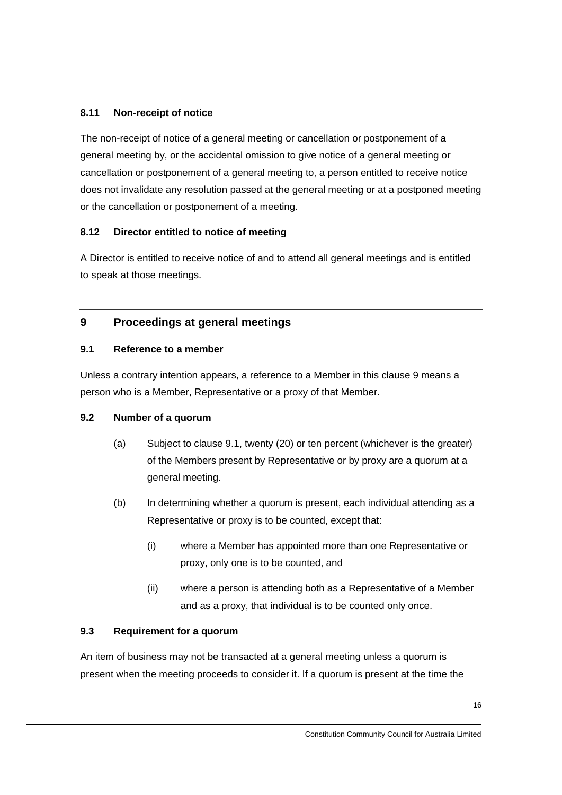### **8.11 Non-receipt of notice**

The non-receipt of notice of a general meeting or cancellation or postponement of a general meeting by, or the accidental omission to give notice of a general meeting or cancellation or postponement of a general meeting to, a person entitled to receive notice does not invalidate any resolution passed at the general meeting or at a postponed meeting or the cancellation or postponement of a meeting.

#### **8.12 Director entitled to notice of meeting**

A Director is entitled to receive notice of and to attend all general meetings and is entitled to speak at those meetings.

# <span id="page-15-0"></span>**9 Proceedings at general meetings**

#### <span id="page-15-1"></span>**9.1 Reference to a member**

Unless a contrary intention appears, a reference to a Member in this clause [9](#page-15-0) means a person who is a Member, Representative or a proxy of that Member.

# **9.2 Number of a quorum**

- (a) Subject to clause [9.1,](#page-15-1) twenty (20) or ten percent (whichever is the greater) of the Members present by Representative or by proxy are a quorum at a general meeting.
- (b) In determining whether a quorum is present, each individual attending as a Representative or proxy is to be counted, except that:
	- (i) where a Member has appointed more than one Representative or proxy, only one is to be counted, and
	- (ii) where a person is attending both as a Representative of a Member and as a proxy, that individual is to be counted only once.

#### **9.3 Requirement for a quorum**

An item of business may not be transacted at a general meeting unless a quorum is present when the meeting proceeds to consider it. If a quorum is present at the time the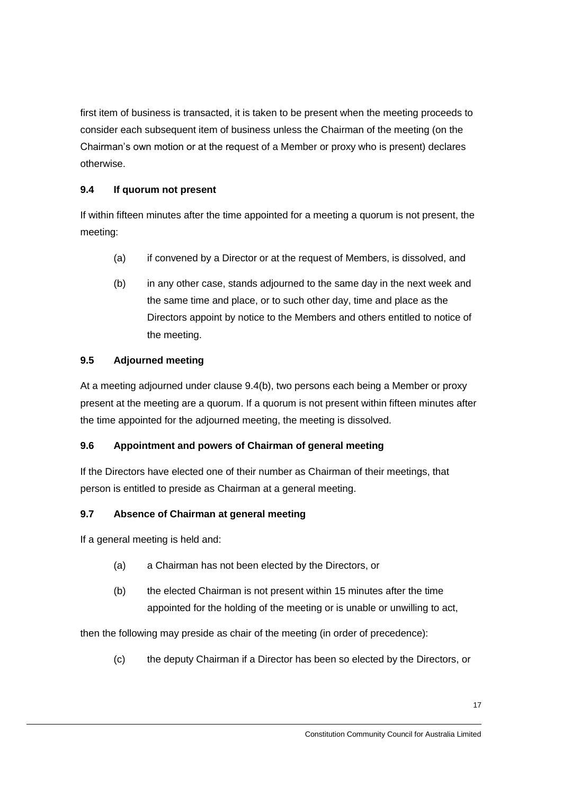first item of business is transacted, it is taken to be present when the meeting proceeds to consider each subsequent item of business unless the Chairman of the meeting (on the Chairman's own motion or at the request of a Member or proxy who is present) declares otherwise.

# **9.4 If quorum not present**

If within fifteen minutes after the time appointed for a meeting a quorum is not present, the meeting:

- (a) if convened by a Director or at the request of Members, is dissolved, and
- <span id="page-16-0"></span>(b) in any other case, stands adjourned to the same day in the next week and the same time and place, or to such other day, time and place as the Directors appoint by notice to the Members and others entitled to notice of the meeting.

# **9.5 Adjourned meeting**

At a meeting adjourned under clause [9.4\(b\),](#page-16-0) two persons each being a Member or proxy present at the meeting are a quorum. If a quorum is not present within fifteen minutes after the time appointed for the adjourned meeting, the meeting is dissolved.

# **9.6 Appointment and powers of Chairman of general meeting**

If the Directors have elected one of their number as Chairman of their meetings, that person is entitled to preside as Chairman at a general meeting.

# **9.7 Absence of Chairman at general meeting**

If a general meeting is held and:

- (a) a Chairman has not been elected by the Directors, or
- (b) the elected Chairman is not present within 15 minutes after the time appointed for the holding of the meeting or is unable or unwilling to act,

then the following may preside as chair of the meeting (in order of precedence):

(c) the deputy Chairman if a Director has been so elected by the Directors, or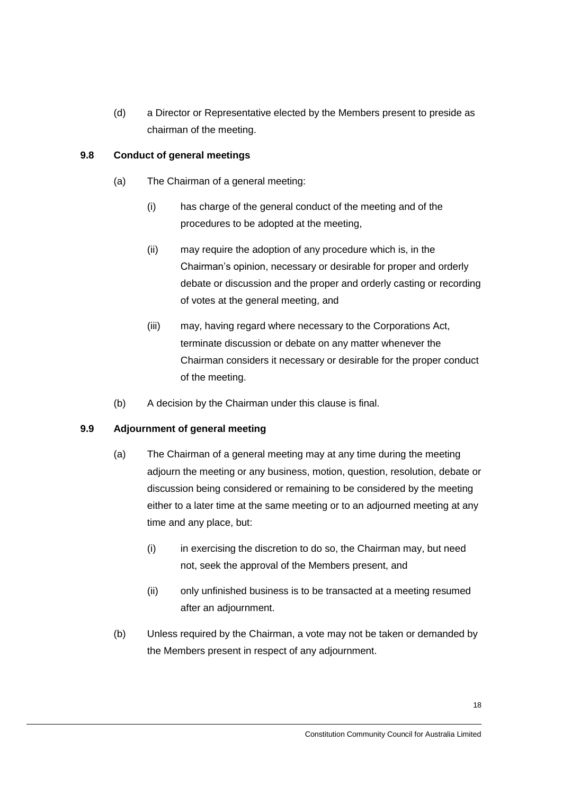(d) a Director or Representative elected by the Members present to preside as chairman of the meeting.

### **9.8 Conduct of general meetings**

- (a) The Chairman of a general meeting:
	- (i) has charge of the general conduct of the meeting and of the procedures to be adopted at the meeting,
	- (ii) may require the adoption of any procedure which is, in the Chairman's opinion, necessary or desirable for proper and orderly debate or discussion and the proper and orderly casting or recording of votes at the general meeting, and
	- (iii) may, having regard where necessary to the Corporations Act, terminate discussion or debate on any matter whenever the Chairman considers it necessary or desirable for the proper conduct of the meeting.
- (b) A decision by the Chairman under this clause is final.

# **9.9 Adjournment of general meeting**

- (a) The Chairman of a general meeting may at any time during the meeting adjourn the meeting or any business, motion, question, resolution, debate or discussion being considered or remaining to be considered by the meeting either to a later time at the same meeting or to an adjourned meeting at any time and any place, but:
	- (i) in exercising the discretion to do so, the Chairman may, but need not, seek the approval of the Members present, and
	- (ii) only unfinished business is to be transacted at a meeting resumed after an adjournment.
- (b) Unless required by the Chairman, a vote may not be taken or demanded by the Members present in respect of any adjournment.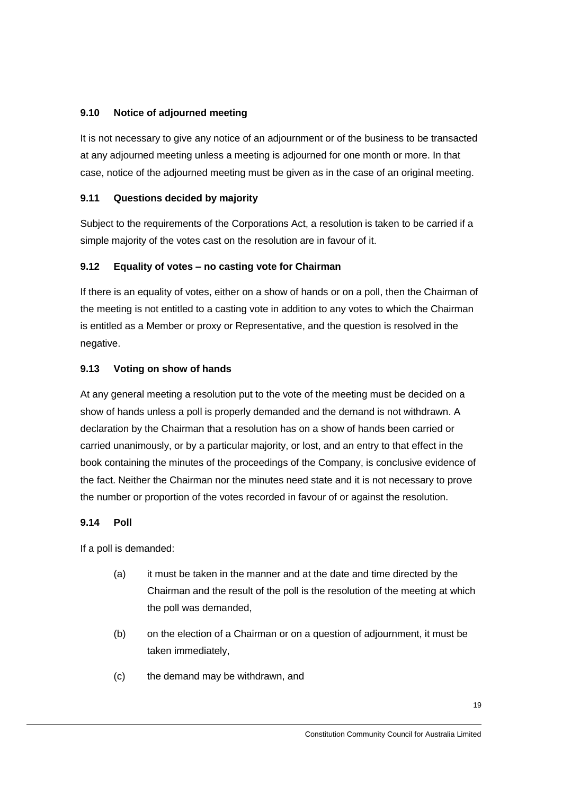### **9.10 Notice of adjourned meeting**

It is not necessary to give any notice of an adjournment or of the business to be transacted at any adjourned meeting unless a meeting is adjourned for one month or more. In that case, notice of the adjourned meeting must be given as in the case of an original meeting.

#### **9.11 Questions decided by majority**

Subject to the requirements of the Corporations Act, a resolution is taken to be carried if a simple majority of the votes cast on the resolution are in favour of it.

#### **9.12 Equality of votes – no casting vote for Chairman**

If there is an equality of votes, either on a show of hands or on a poll, then the Chairman of the meeting is not entitled to a casting vote in addition to any votes to which the Chairman is entitled as a Member or proxy or Representative, and the question is resolved in the negative.

#### **9.13 Voting on show of hands**

At any general meeting a resolution put to the vote of the meeting must be decided on a show of hands unless a poll is properly demanded and the demand is not withdrawn. A declaration by the Chairman that a resolution has on a show of hands been carried or carried unanimously, or by a particular majority, or lost, and an entry to that effect in the book containing the minutes of the proceedings of the Company, is conclusive evidence of the fact. Neither the Chairman nor the minutes need state and it is not necessary to prove the number or proportion of the votes recorded in favour of or against the resolution.

#### **9.14 Poll**

If a poll is demanded:

- (a) it must be taken in the manner and at the date and time directed by the Chairman and the result of the poll is the resolution of the meeting at which the poll was demanded,
- (b) on the election of a Chairman or on a question of adjournment, it must be taken immediately,
- (c) the demand may be withdrawn, and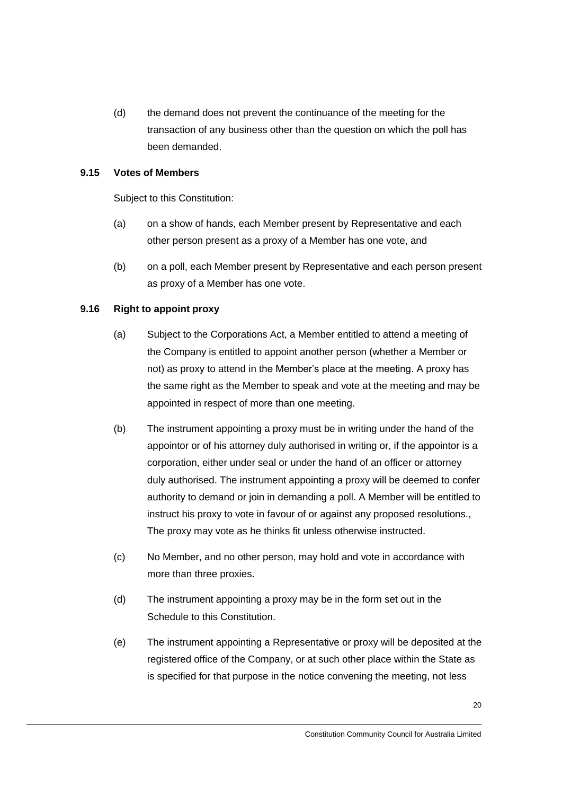(d) the demand does not prevent the continuance of the meeting for the transaction of any business other than the question on which the poll has been demanded.

#### **9.15 Votes of Members**

Subject to this Constitution:

- (a) on a show of hands, each Member present by Representative and each other person present as a proxy of a Member has one vote, and
- (b) on a poll, each Member present by Representative and each person present as proxy of a Member has one vote.

#### **9.16 Right to appoint proxy**

- (a) Subject to the Corporations Act, a Member entitled to attend a meeting of the Company is entitled to appoint another person (whether a Member or not) as proxy to attend in the Member's place at the meeting. A proxy has the same right as the Member to speak and vote at the meeting and may be appointed in respect of more than one meeting.
- (b) The instrument appointing a proxy must be in writing under the hand of the appointor or of his attorney duly authorised in writing or, if the appointor is a corporation, either under seal or under the hand of an officer or attorney duly authorised. The instrument appointing a proxy will be deemed to confer authority to demand or join in demanding a poll. A Member will be entitled to instruct his proxy to vote in favour of or against any proposed resolutions., The proxy may vote as he thinks fit unless otherwise instructed.
- (c) No Member, and no other person, may hold and vote in accordance with more than three proxies.
- (d) The instrument appointing a proxy may be in the form set out in the Schedule to this Constitution.
- (e) The instrument appointing a Representative or proxy will be deposited at the registered office of the Company, or at such other place within the State as is specified for that purpose in the notice convening the meeting, not less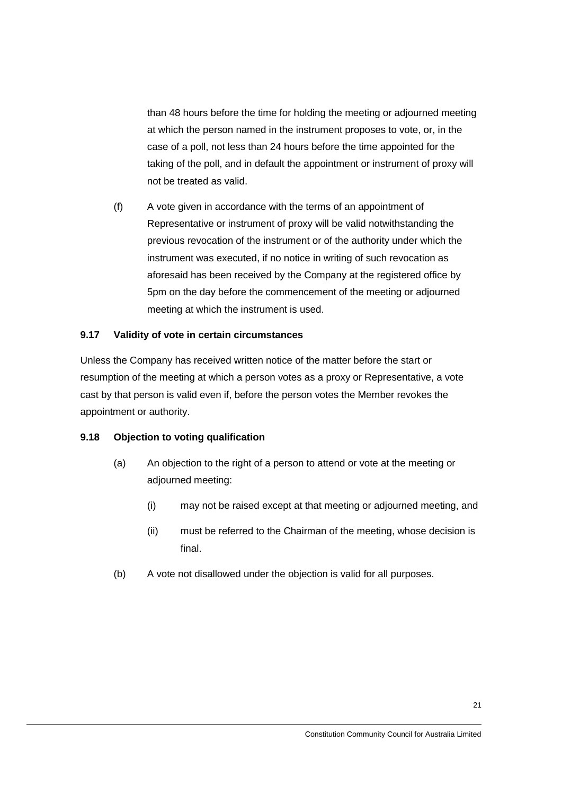than 48 hours before the time for holding the meeting or adjourned meeting at which the person named in the instrument proposes to vote, or, in the case of a poll, not less than 24 hours before the time appointed for the taking of the poll, and in default the appointment or instrument of proxy will not be treated as valid.

(f) A vote given in accordance with the terms of an appointment of Representative or instrument of proxy will be valid notwithstanding the previous revocation of the instrument or of the authority under which the instrument was executed, if no notice in writing of such revocation as aforesaid has been received by the Company at the registered office by 5pm on the day before the commencement of the meeting or adjourned meeting at which the instrument is used.

#### **9.17 Validity of vote in certain circumstances**

Unless the Company has received written notice of the matter before the start or resumption of the meeting at which a person votes as a proxy or Representative, a vote cast by that person is valid even if, before the person votes the Member revokes the appointment or authority.

#### **9.18 Objection to voting qualification**

- (a) An objection to the right of a person to attend or vote at the meeting or adjourned meeting:
	- (i) may not be raised except at that meeting or adjourned meeting, and
	- (ii) must be referred to the Chairman of the meeting, whose decision is final.
- (b) A vote not disallowed under the objection is valid for all purposes.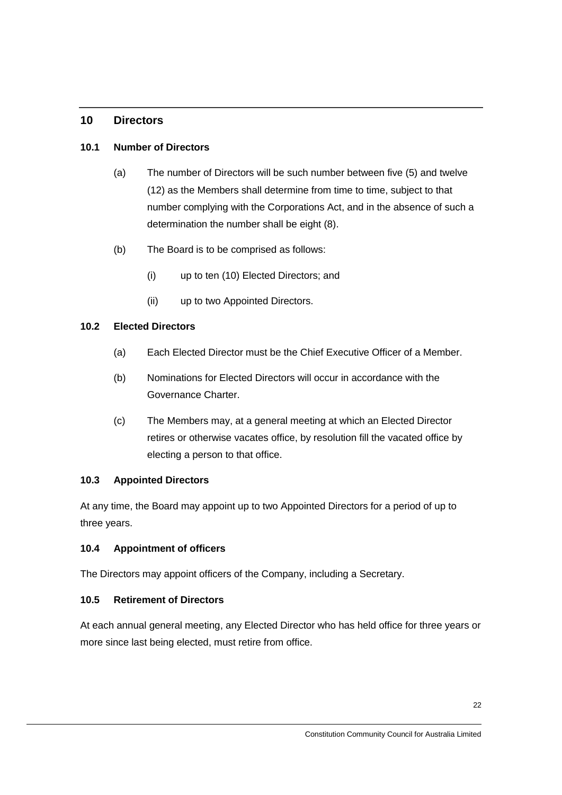# <span id="page-21-0"></span>**10 Directors**

#### <span id="page-21-3"></span>**10.1 Number of Directors**

- (a) The number of Directors will be such number between five (5) and twelve (12) as the Members shall determine from time to time, subject to that number complying with the Corporations Act, and in the absence of such a determination the number shall be eight (8).
- (b) The Board is to be comprised as follows:
	- (i) up to ten (10) Elected Directors; and
	- (ii) up to two Appointed Directors.

#### <span id="page-21-2"></span>**10.2 Elected Directors**

- (a) Each Elected Director must be the Chief Executive Officer of a Member.
- (b) Nominations for Elected Directors will occur in accordance with the Governance Charter.
- (c) The Members may, at a general meeting at which an Elected Director retires or otherwise vacates office, by resolution fill the vacated office by electing a person to that office.

#### <span id="page-21-1"></span>**10.3 Appointed Directors**

At any time, the Board may appoint up to two Appointed Directors for a period of up to three years.

#### **10.4 Appointment of officers**

The Directors may appoint officers of the Company, including a Secretary.

#### **10.5 Retirement of Directors**

At each annual general meeting, any Elected Director who has held office for three years or more since last being elected, must retire from office.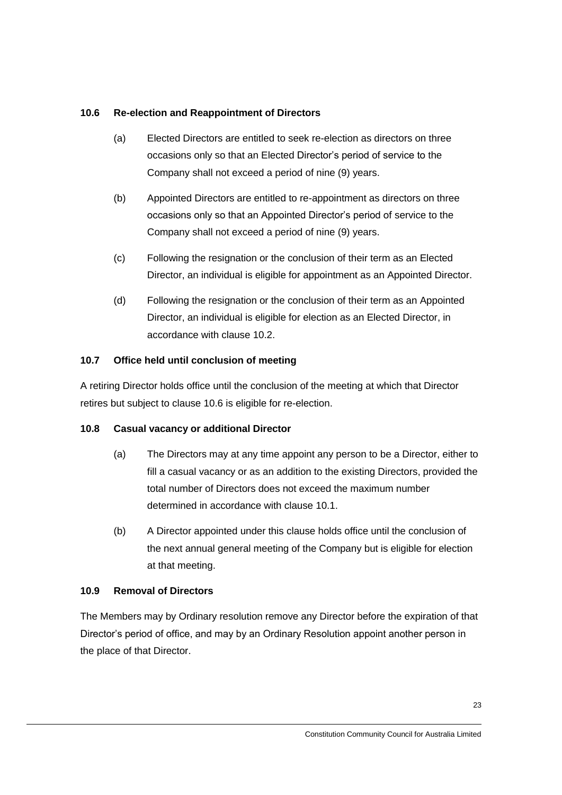#### <span id="page-22-0"></span>**10.6 Re-election and Reappointment of Directors**

- (a) Elected Directors are entitled to seek re-election as directors on three occasions only so that an Elected Director's period of service to the Company shall not exceed a period of nine (9) years.
- (b) Appointed Directors are entitled to re-appointment as directors on three occasions only so that an Appointed Director's period of service to the Company shall not exceed a period of nine (9) years.
- (c) Following the resignation or the conclusion of their term as an Elected Director, an individual is eligible for appointment as an Appointed Director.
- (d) Following the resignation or the conclusion of their term as an Appointed Director, an individual is eligible for election as an Elected Director, in accordance with clause [10.2.](#page-21-2)

#### **10.7 Office held until conclusion of meeting**

A retiring Director holds office until the conclusion of the meeting at which that Director retires but subject to clause [10.6](#page-22-0) is eligible for re-election.

# **10.8 Casual vacancy or additional Director**

- (a) The Directors may at any time appoint any person to be a Director, either to fill a casual vacancy or as an addition to the existing Directors, provided the total number of Directors does not exceed the maximum number determined in accordance with clause [10.1.](#page-21-3)
- (b) A Director appointed under this clause holds office until the conclusion of the next annual general meeting of the Company but is eligible for election at that meeting.

# **10.9 Removal of Directors**

The Members may by Ordinary resolution remove any Director before the expiration of that Director's period of office, and may by an Ordinary Resolution appoint another person in the place of that Director.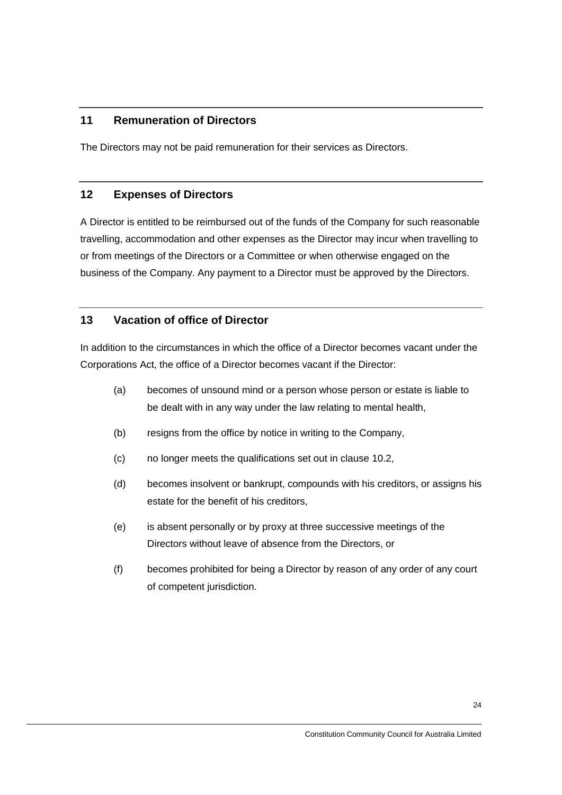# <span id="page-23-0"></span>**11 Remuneration of Directors**

<span id="page-23-1"></span>The Directors may not be paid remuneration for their services as Directors.

### **12 Expenses of Directors**

A Director is entitled to be reimbursed out of the funds of the Company for such reasonable travelling, accommodation and other expenses as the Director may incur when travelling to or from meetings of the Directors or a Committee or when otherwise engaged on the business of the Company. Any payment to a Director must be approved by the Directors.

#### <span id="page-23-2"></span>**13 Vacation of office of Director**

In addition to the circumstances in which the office of a Director becomes vacant under the Corporations Act, the office of a Director becomes vacant if the Director:

- (a) becomes of unsound mind or a person whose person or estate is liable to be dealt with in any way under the law relating to mental health,
- (b) resigns from the office by notice in writing to the Company,
- (c) no longer meets the qualifications set out in clause [10.2,](#page-21-2)
- (d) becomes insolvent or bankrupt, compounds with his creditors, or assigns his estate for the benefit of his creditors,
- (e) is absent personally or by proxy at three successive meetings of the Directors without leave of absence from the Directors, or
- (f) becomes prohibited for being a Director by reason of any order of any court of competent jurisdiction.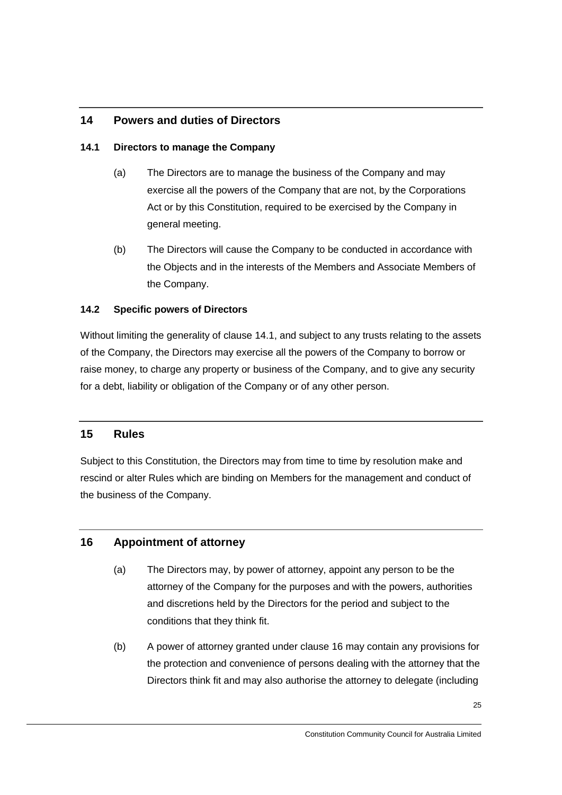# <span id="page-24-0"></span>**14 Powers and duties of Directors**

#### <span id="page-24-3"></span>**14.1 Directors to manage the Company**

- (a) The Directors are to manage the business of the Company and may exercise all the powers of the Company that are not, by the Corporations Act or by this Constitution, required to be exercised by the Company in general meeting.
- (b) The Directors will cause the Company to be conducted in accordance with the Objects and in the interests of the Members and Associate Members of the Company.

#### **14.2 Specific powers of Directors**

Without limiting the generality of clause [14.1,](#page-24-3) and subject to any trusts relating to the assets of the Company, the Directors may exercise all the powers of the Company to borrow or raise money, to charge any property or business of the Company, and to give any security for a debt, liability or obligation of the Company or of any other person.

# <span id="page-24-1"></span>**15 Rules**

Subject to this Constitution, the Directors may from time to time by resolution make and rescind or alter Rules which are binding on Members for the management and conduct of the business of the Company.

# <span id="page-24-2"></span>**16 Appointment of attorney**

- (a) The Directors may, by power of attorney, appoint any person to be the attorney of the Company for the purposes and with the powers, authorities and discretions held by the Directors for the period and subject to the conditions that they think fit.
- (b) A power of attorney granted under clause [16](#page-24-2) may contain any provisions for the protection and convenience of persons dealing with the attorney that the Directors think fit and may also authorise the attorney to delegate (including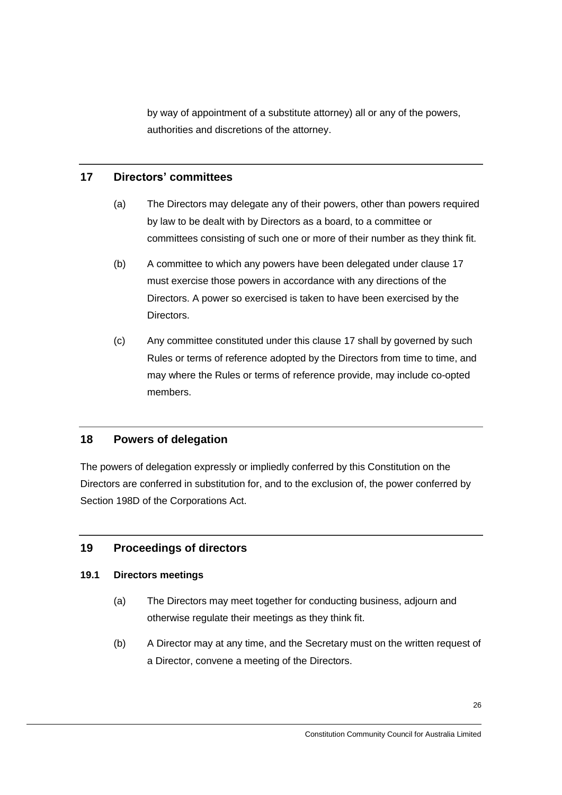by way of appointment of a substitute attorney) all or any of the powers, authorities and discretions of the attorney.

# <span id="page-25-0"></span>**17 Directors' committees**

- (a) The Directors may delegate any of their powers, other than powers required by law to be dealt with by Directors as a board, to a committee or committees consisting of such one or more of their number as they think fit.
- (b) A committee to which any powers have been delegated under clause [17](#page-25-0) must exercise those powers in accordance with any directions of the Directors. A power so exercised is taken to have been exercised by the Directors.
- (c) Any committee constituted under this clause [17](#page-25-0) shall by governed by such Rules or terms of reference adopted by the Directors from time to time, and may where the Rules or terms of reference provide, may include co-opted members.

# <span id="page-25-1"></span>**18 Powers of delegation**

The powers of delegation expressly or impliedly conferred by this Constitution on the Directors are conferred in substitution for, and to the exclusion of, the power conferred by Section 198D of the Corporations Act.

# <span id="page-25-2"></span>**19 Proceedings of directors**

#### **19.1 Directors meetings**

- (a) The Directors may meet together for conducting business, adjourn and otherwise regulate their meetings as they think fit.
- (b) A Director may at any time, and the Secretary must on the written request of a Director, convene a meeting of the Directors.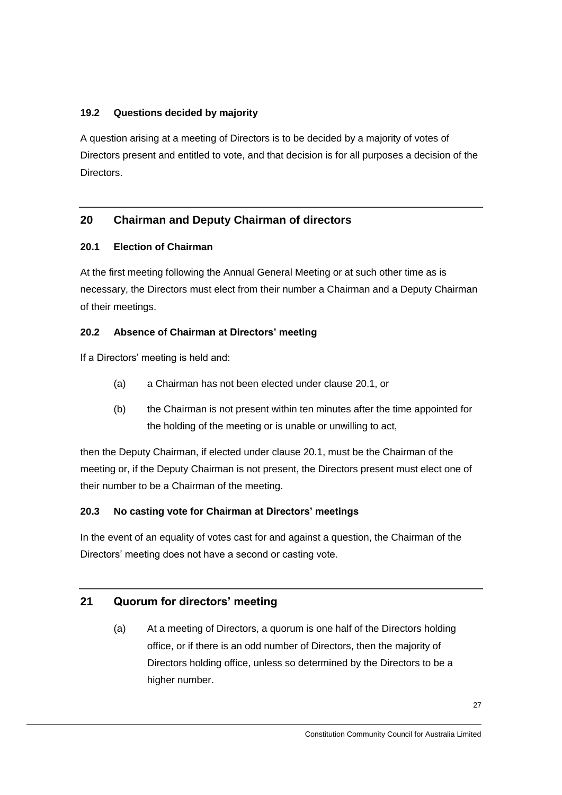# **19.2 Questions decided by majority**

A question arising at a meeting of Directors is to be decided by a majority of votes of Directors present and entitled to vote, and that decision is for all purposes a decision of the Directors.

# <span id="page-26-0"></span>**20 Chairman and Deputy Chairman of directors**

# <span id="page-26-2"></span>**20.1 Election of Chairman**

At the first meeting following the Annual General Meeting or at such other time as is necessary, the Directors must elect from their number a Chairman and a Deputy Chairman of their meetings.

# **20.2 Absence of Chairman at Directors' meeting**

If a Directors' meeting is held and:

- (a) a Chairman has not been elected under clause [20.1,](#page-26-2) or
- (b) the Chairman is not present within ten minutes after the time appointed for the holding of the meeting or is unable or unwilling to act,

then the Deputy Chairman, if elected under clause [20.1,](#page-26-2) must be the Chairman of the meeting or, if the Deputy Chairman is not present, the Directors present must elect one of their number to be a Chairman of the meeting.

# **20.3 No casting vote for Chairman at Directors' meetings**

In the event of an equality of votes cast for and against a question, the Chairman of the Directors' meeting does not have a second or casting vote.

# <span id="page-26-1"></span>**21 Quorum for directors' meeting**

(a) At a meeting of Directors, a quorum is one half of the Directors holding office, or if there is an odd number of Directors, then the majority of Directors holding office, unless so determined by the Directors to be a higher number.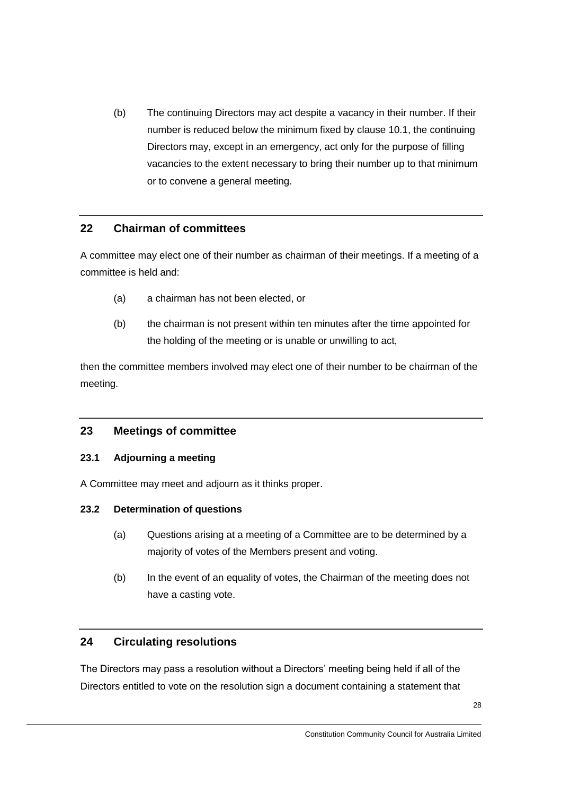(b) The continuing Directors may act despite a vacancy in their number. If their number is reduced below the minimum fixed by clause [10.1,](#page-21-3) the continuing Directors may, except in an emergency, act only for the purpose of filling vacancies to the extent necessary to bring their number up to that minimum or to convene a general meeting.

#### <span id="page-27-0"></span>**22 Chairman of committees**

A committee may elect one of their number as chairman of their meetings. If a meeting of a committee is held and:

- (a) a chairman has not been elected, or
- (b) the chairman is not present within ten minutes after the time appointed for the holding of the meeting or is unable or unwilling to act,

then the committee members involved may elect one of their number to be chairman of the meeting.

# <span id="page-27-1"></span>**23 Meetings of committee**

#### **23.1 Adjourning a meeting**

A Committee may meet and adjourn as it thinks proper.

#### **23.2 Determination of questions**

- (a) Questions arising at a meeting of a Committee are to be determined by a majority of votes of the Members present and voting.
- (b) In the event of an equality of votes, the Chairman of the meeting does not have a casting vote.

# <span id="page-27-2"></span>**24 Circulating resolutions**

The Directors may pass a resolution without a Directors' meeting being held if all of the Directors entitled to vote on the resolution sign a document containing a statement that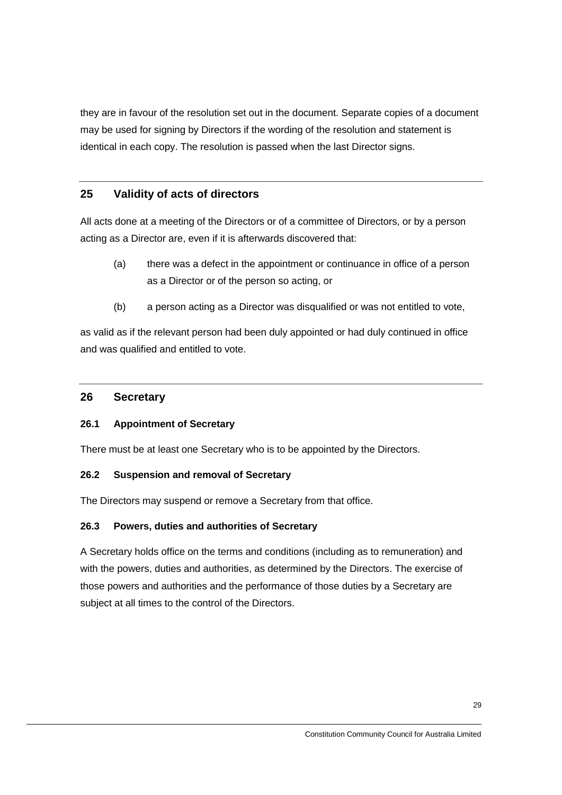they are in favour of the resolution set out in the document. Separate copies of a document may be used for signing by Directors if the wording of the resolution and statement is identical in each copy. The resolution is passed when the last Director signs.

# <span id="page-28-0"></span>**25 Validity of acts of directors**

All acts done at a meeting of the Directors or of a committee of Directors, or by a person acting as a Director are, even if it is afterwards discovered that:

- (a) there was a defect in the appointment or continuance in office of a person as a Director or of the person so acting, or
- (b) a person acting as a Director was disqualified or was not entitled to vote,

as valid as if the relevant person had been duly appointed or had duly continued in office and was qualified and entitled to vote.

### <span id="page-28-1"></span>**26 Secretary**

#### **26.1 Appointment of Secretary**

There must be at least one Secretary who is to be appointed by the Directors.

#### **26.2 Suspension and removal of Secretary**

The Directors may suspend or remove a Secretary from that office.

#### **26.3 Powers, duties and authorities of Secretary**

A Secretary holds office on the terms and conditions (including as to remuneration) and with the powers, duties and authorities, as determined by the Directors. The exercise of those powers and authorities and the performance of those duties by a Secretary are subject at all times to the control of the Directors.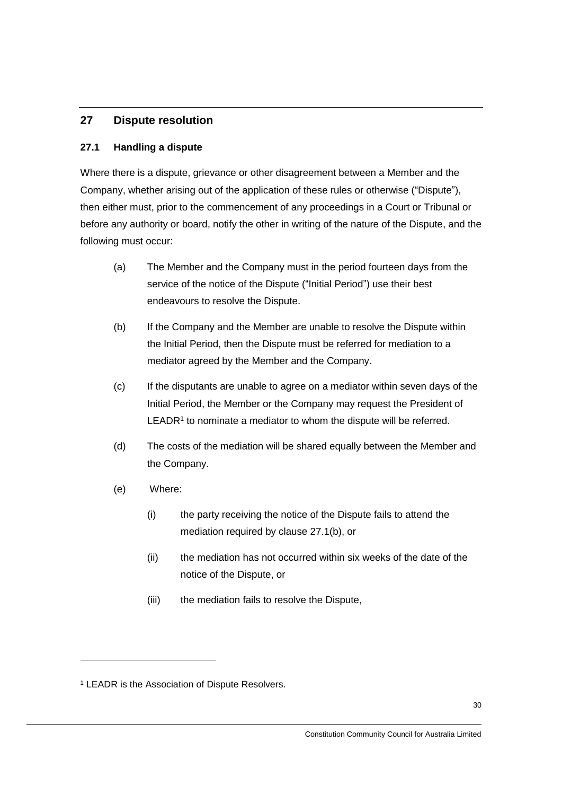# <span id="page-29-0"></span>**27 Dispute resolution**

#### <span id="page-29-2"></span>**27.1 Handling a dispute**

Where there is a dispute, grievance or other disagreement between a Member and the Company, whether arising out of the application of these rules or otherwise ("Dispute"), then either must, prior to the commencement of any proceedings in a Court or Tribunal or before any authority or board, notify the other in writing of the nature of the Dispute, and the following must occur:

- <span id="page-29-1"></span>(a) The Member and the Company must in the period fourteen days from the service of the notice of the Dispute ("Initial Period") use their best endeavours to resolve the Dispute.
- (b) If the Company and the Member are unable to resolve the Dispute within the Initial Period, then the Dispute must be referred for mediation to a mediator agreed by the Member and the Company.
- (c) If the disputants are unable to agree on a mediator within seven days of the Initial Period, the Member or the Company may request the President of  $LEADR<sup>1</sup>$  to nominate a mediator to whom the dispute will be referred.
- (d) The costs of the mediation will be shared equally between the Member and the Company.
- (e) Where:

1

- (i) the party receiving the notice of the Dispute fails to attend the mediation required by clause [27.1\(](#page-29-2)b), or
- (ii) the mediation has not occurred within six weeks of the date of the notice of the Dispute, or
- (iii) the mediation fails to resolve the Dispute,

<sup>1</sup> LEADR is the Association of Dispute Resolvers.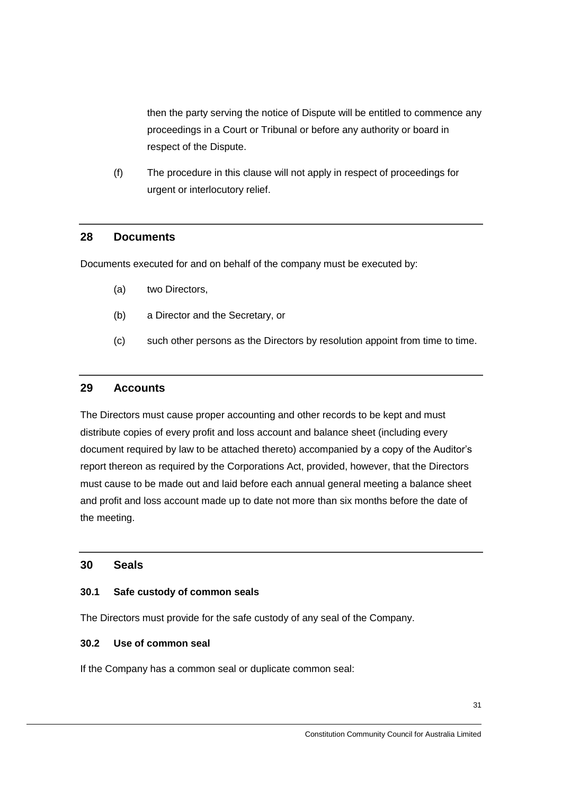then the party serving the notice of Dispute will be entitled to commence any proceedings in a Court or Tribunal or before any authority or board in respect of the Dispute.

(f) The procedure in this clause will not apply in respect of proceedings for urgent or interlocutory relief.

#### <span id="page-30-0"></span>**28 Documents**

Documents executed for and on behalf of the company must be executed by:

- (a) two Directors,
- (b) a Director and the Secretary, or
- (c) such other persons as the Directors by resolution appoint from time to time.

#### <span id="page-30-1"></span>**29 Accounts**

The Directors must cause proper accounting and other records to be kept and must distribute copies of every profit and loss account and balance sheet (including every document required by law to be attached thereto) accompanied by a copy of the Auditor's report thereon as required by the Corporations Act, provided, however, that the Directors must cause to be made out and laid before each annual general meeting a balance sheet and profit and loss account made up to date not more than six months before the date of the meeting.

#### <span id="page-30-2"></span>**30 Seals**

#### **30.1 Safe custody of common seals**

The Directors must provide for the safe custody of any seal of the Company.

#### **30.2 Use of common seal**

If the Company has a common seal or duplicate common seal: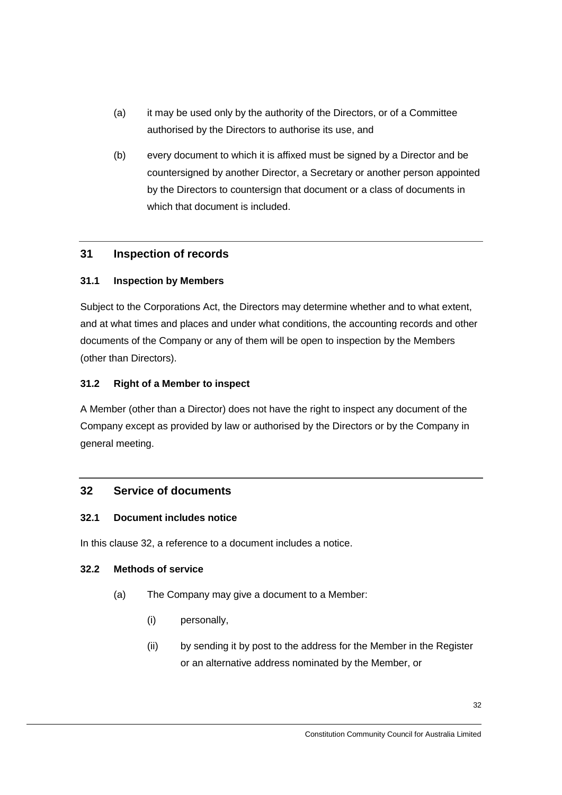- (a) it may be used only by the authority of the Directors, or of a Committee authorised by the Directors to authorise its use, and
- (b) every document to which it is affixed must be signed by a Director and be countersigned by another Director, a Secretary or another person appointed by the Directors to countersign that document or a class of documents in which that document is included.

# <span id="page-31-0"></span>**31 Inspection of records**

#### **31.1 Inspection by Members**

Subject to the Corporations Act, the Directors may determine whether and to what extent, and at what times and places and under what conditions, the accounting records and other documents of the Company or any of them will be open to inspection by the Members (other than Directors).

#### **31.2 Right of a Member to inspect**

A Member (other than a Director) does not have the right to inspect any document of the Company except as provided by law or authorised by the Directors or by the Company in general meeting.

# <span id="page-31-1"></span>**32 Service of documents**

#### **32.1 Document includes notice**

In this clause 32, a reference to a document includes a notice.

#### **32.2 Methods of service**

- (a) The Company may give a document to a Member:
	- (i) personally,
	- (ii) by sending it by post to the address for the Member in the Register or an alternative address nominated by the Member, or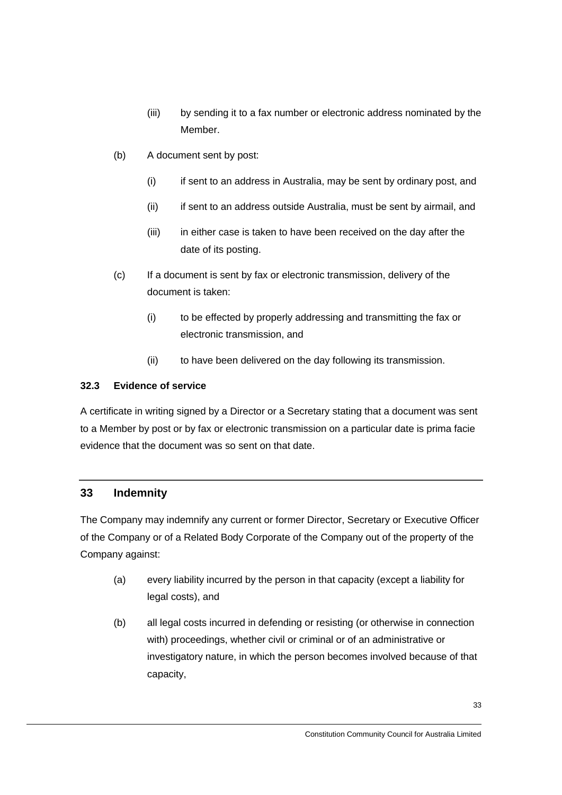- (iii) by sending it to a fax number or electronic address nominated by the Member.
- (b) A document sent by post:
	- (i) if sent to an address in Australia, may be sent by ordinary post, and
	- (ii) if sent to an address outside Australia, must be sent by airmail, and
	- (iii) in either case is taken to have been received on the day after the date of its posting.
- (c) If a document is sent by fax or electronic transmission, delivery of the document is taken:
	- (i) to be effected by properly addressing and transmitting the fax or electronic transmission, and
	- (ii) to have been delivered on the day following its transmission.

#### **32.3 Evidence of service**

A certificate in writing signed by a Director or a Secretary stating that a document was sent to a Member by post or by fax or electronic transmission on a particular date is prima facie evidence that the document was so sent on that date.

# <span id="page-32-0"></span>**33 Indemnity**

The Company may indemnify any current or former Director, Secretary or Executive Officer of the Company or of a Related Body Corporate of the Company out of the property of the Company against:

- (a) every liability incurred by the person in that capacity (except a liability for legal costs), and
- (b) all legal costs incurred in defending or resisting (or otherwise in connection with) proceedings, whether civil or criminal or of an administrative or investigatory nature, in which the person becomes involved because of that capacity,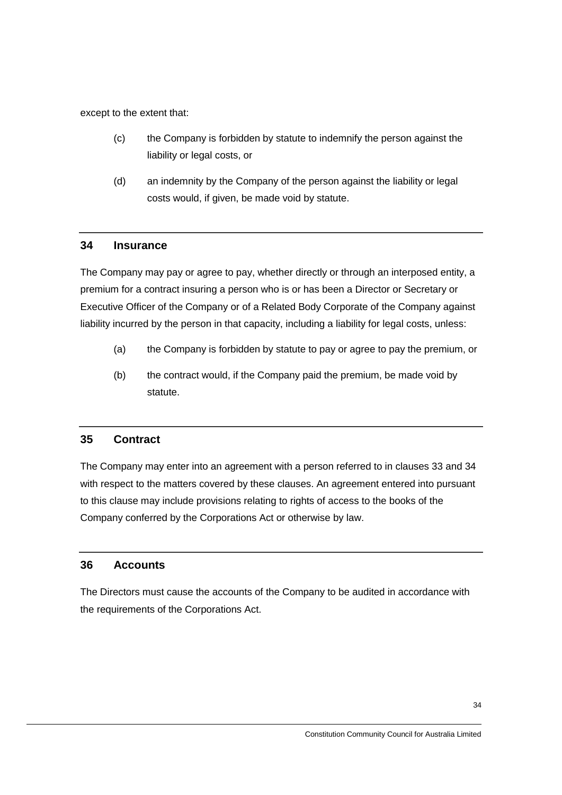except to the extent that:

- (c) the Company is forbidden by statute to indemnify the person against the liability or legal costs, or
- (d) an indemnity by the Company of the person against the liability or legal costs would, if given, be made void by statute.

# <span id="page-33-0"></span>**34 Insurance**

The Company may pay or agree to pay, whether directly or through an interposed entity, a premium for a contract insuring a person who is or has been a Director or Secretary or Executive Officer of the Company or of a Related Body Corporate of the Company against liability incurred by the person in that capacity, including a liability for legal costs, unless:

- (a) the Company is forbidden by statute to pay or agree to pay the premium, or
- (b) the contract would, if the Company paid the premium, be made void by statute.

#### <span id="page-33-1"></span>**35 Contract**

The Company may enter into an agreement with a person referred to in clauses [33](#page-32-0) and [34](#page-33-0) with respect to the matters covered by these clauses. An agreement entered into pursuant to this clause may include provisions relating to rights of access to the books of the Company conferred by the Corporations Act or otherwise by law.

#### <span id="page-33-2"></span>**36 Accounts**

The Directors must cause the accounts of the Company to be audited in accordance with the requirements of the Corporations Act.